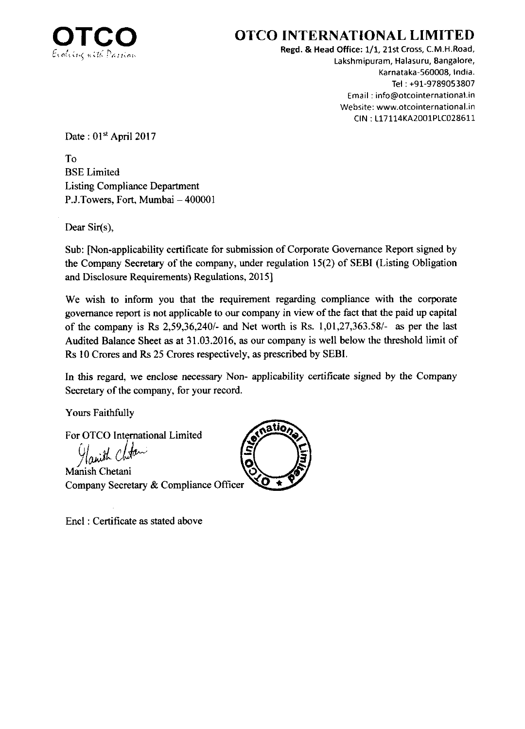

## **OTCO INTERNATIONAL LIMITED**

Regd. & Head Office: 1/1, 21st Cross, C.M.H.Road, Lakshmipuram, Halasuru, Eangalore, Karnataka-560008, lndia. Tel : +91-9789053807 Email : info@otcointernational.in Website: www.otcointernational.in CIN: L17114KA2001PLC028611

Date: 01st April 2017

To BSE Limited Listing Compliance Department P.J.Towers, Fort, Mumbai - 400001

Dear Sir(s),

Sub: [Non-applicability certificate for submission of Corporate Governance Report signed by the Company Secretary of the company, under regulation 15(2) of SEBI (Listing Obligation and Disclosure Requirements) Regulations, 2015]

We wish to inform you that the requirement regarding compliance with the corporate govemance report is not applicable to our company in view of the fact that the paid up capital of the company is Rs  $2,59,36,240/4$  and Net worth is Rs.  $1,01,27,363.58/4$  as per the last Audited Balance Sheet as at  $31.03.2016$ , as our company is well below the threshold limit of Rs l0 Crores and Rs 25 Crores respectively, as prescribed by SEBI.

In this regard, we enclose necessary Non- applicability certificate signed by the Company secretary of the company, for your record.

Yours Faithfully

For OTCO Intemational Limited

anith (

Manish Chetani Company Secretary & Compliance Officer

Encl : Certificate as stated above